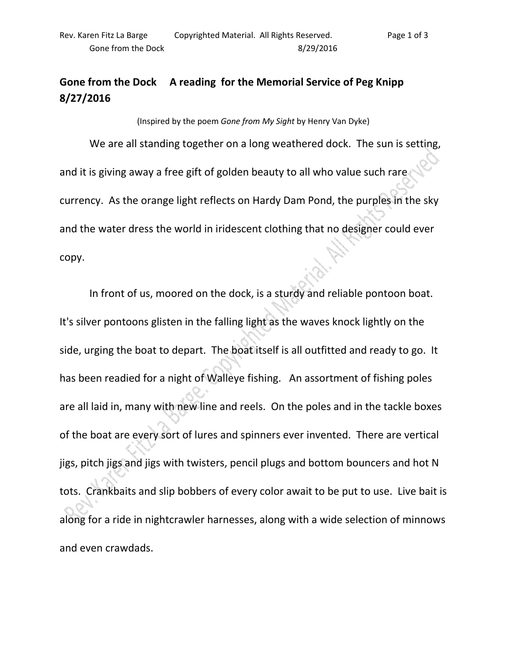## **Gone from the Dock A reading for the Memorial Service of Peg Knipp 8/27/2016**

(Inspired by the poem *Gone from My Sight* by Henry Van Dyke)

We are all standing together on a long weathered dock. The sun is setting, and it is giving away a free gift of golden beauty to all who value such rare currency. As the orange light reflects on Hardy Dam Pond, the purples in the sky and the water dress the world in iridescent clothing that no designer could ever copy.

 In front of us, moored on the dock, is a sturdy and reliable pontoon boat. It's silver pontoons glisten in the falling light as the waves knock lightly on the side, urging the boat to depart. The boat itself is all outfitted and ready to go. It has been readied for a night of Walleye fishing. An assortment of fishing poles are all laid in, many with new line and reels. On the poles and in the tackle boxes of the boat are every sort of lures and spinners ever invented. There are vertical jigs, pitch jigs and jigs with twisters, pencil plugs and bottom bouncers and hot N tots. Crankbaits and slip bobbers of every color await to be put to use. Live bait is along for a ride in nightcrawler harnesses, along with a wide selection of minnows and even crawdads.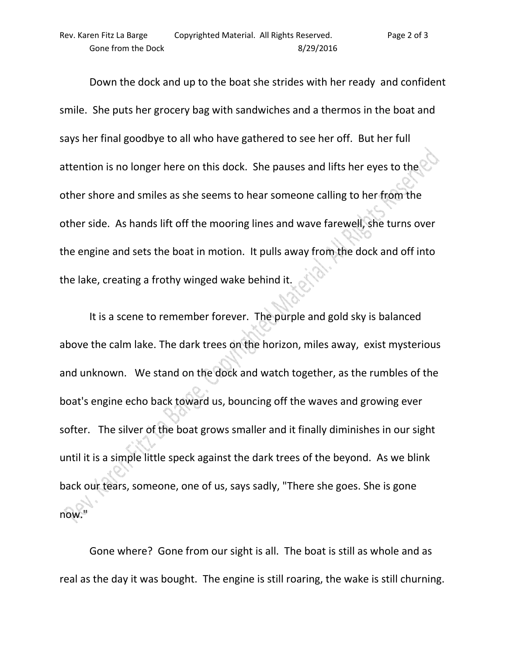Down the dock and up to the boat she strides with her ready and confident smile. She puts her grocery bag with sandwiches and a thermos in the boat and says her final goodbye to all who have gathered to see her off. But her full attention is no longer here on this dock. She pauses and lifts her eyes to the other shore and smiles as she seems to hear someone calling to her from the other side. As hands lift off the mooring lines and wave farewell, she turns over the engine and sets the boat in motion. It pulls away from the dock and off into the lake, creating a frothy winged wake behind it.

 It is a scene to remember forever. The purple and gold sky is balanced above the calm lake. The dark trees on the horizon, miles away, exist mysterious and unknown. We stand on the dock and watch together, as the rumbles of the boat's engine echo back toward us, bouncing off the waves and growing ever softer. The silver of the boat grows smaller and it finally diminishes in our sight until it is a simple little speck against the dark trees of the beyond. As we blink back our tears, someone, one of us, says sadly, "There she goes. She is gone now."

 Gone where? Gone from our sight is all. The boat is still as whole and as real as the day it was bought. The engine is still roaring, the wake is still churning.